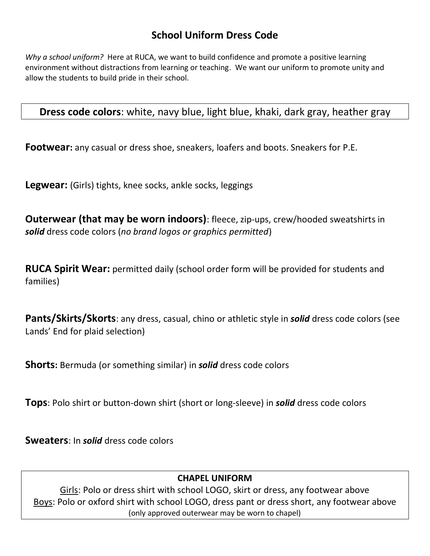## **School Uniform Dress Code**

*Why a school uniform?* Here at RUCA, we want to build confidence and promote a positive learning environment without distractions from learning or teaching. We want our uniform to promote unity and allow the students to build pride in their school.

**Dress code colors**: white, navy blue, light blue, khaki, dark gray, heather gray

**Footwear:** any casual or dress shoe, sneakers, loafers and boots. Sneakers for P.E.

**Legwear:** (Girls) tights, knee socks, ankle socks, leggings

**Outerwear (that may be worn indoors)**: fleece, zip-ups, crew/hooded sweatshirts in *solid* dress code colors (*no brand logos or graphics permitted*)

**RUCA Spirit Wear:** permitted daily (school order form will be provided for students and families)

**Pants/Skirts/Skorts**: any dress, casual, chino or athletic style in *solid* dress code colors (see Lands' End for plaid selection)

**Shorts:** Bermuda (or something similar) in *solid* dress code colors

**Tops**: Polo shirt or button-down shirt (short or long-sleeve) in *solid* dress code colors

**Sweaters**: In *solid* dress code colors

## **CHAPEL UNIFORM**

Girls: Polo or dress shirt with school LOGO, skirt or dress, any footwear above Boys: Polo or oxford shirt with school LOGO, dress pant or dress short, any footwear above (only approved outerwear may be worn to chapel)